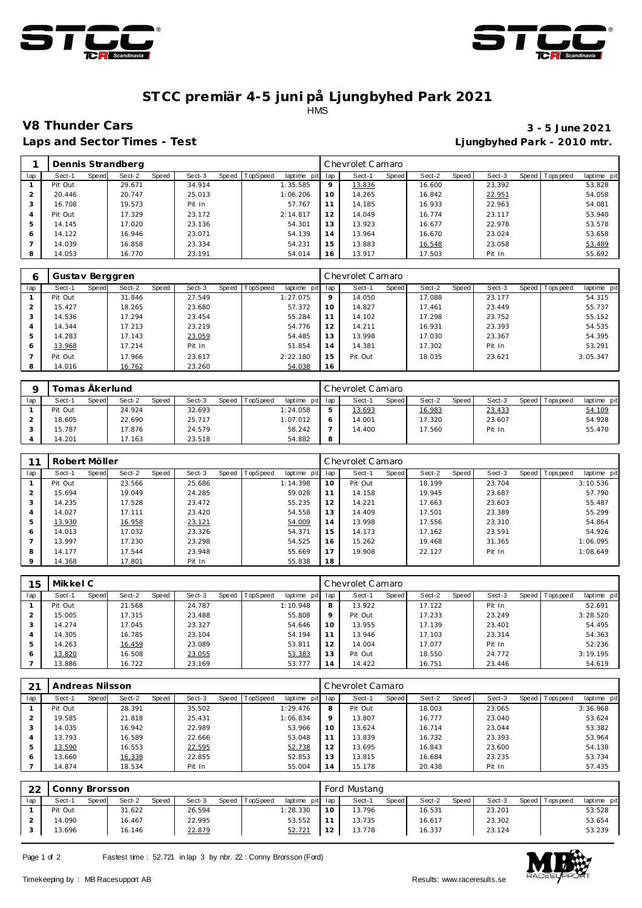



### **ST CC premiär 4-5 juni på Ljungbyhed Park 2021** HMS

**Laps and Sector Times - Test Ljungbyhed Park - 2010 mtr.**

# **V8 Thunder Cars 3 - 5 June 2021**

|     |         |       | Dennis Strandberg |       |        |       |                 |             |          | Chevrolet Camaro |       |        |       |        |                   |             |
|-----|---------|-------|-------------------|-------|--------|-------|-----------------|-------------|----------|------------------|-------|--------|-------|--------|-------------------|-------------|
| lap | Sect-1  | Speed | Sect-2            | Speed | Sect-3 | Speed | <b>TopSpeed</b> | laptime pit | lap      | Sect-1           | Speed | Sect-2 | Speed | Sect-3 | Speed   Tops peed | laptime pit |
|     | Pit Out |       | 29.671            |       | 34.914 |       |                 | 1:35.585    | $\Omega$ | 13.836           |       | 16.600 |       | 23.392 |                   | 53.828      |
|     | 20.446  |       | 20.747            |       | 25.013 |       |                 | 1:06.206    | 10       | 14.265           |       | 16.842 |       | 22.951 |                   | 54.058      |
|     | 16.708  |       | 19.573            |       | Pit In |       |                 | 57.767      |          | 14.185           |       | 16.933 |       | 22.963 |                   | 54.081      |
|     | Pit Out |       | 17.329            |       | 23.172 |       |                 | 2:14.817    | 12       | 14.049           |       | 16.774 |       | 23.117 |                   | 53.940      |
| 5   | 14.145  |       | 17.020            |       | 23.136 |       |                 | 54.301      | 13       | 13.923           |       | 16.677 |       | 22.978 |                   | 53.578      |
| 6   | 14.122  |       | 16.946            |       | 23.071 |       |                 | 54.139      | 14       | 13.964           |       | 16.670 |       | 23.024 |                   | 53.658      |
|     | 14.039  |       | 16.858            |       | 23.334 |       |                 | 54.231      | 15       | 13.883           |       | 16.548 |       | 23.058 |                   | 53.489      |
| 8   | 14.053  |       | 16.770            |       | 23.191 |       |                 | 54.014      | 16       | 13.917           |       | 17.503 |       | Pit In |                   | 55.692      |

| 6   | Gustav Berggren |       |        |       |        |       |          |                 |         | Chevrolet Camaro |       |        |       |        |                 |             |
|-----|-----------------|-------|--------|-------|--------|-------|----------|-----------------|---------|------------------|-------|--------|-------|--------|-----------------|-------------|
| lap | Sect-1          | Speed | Sect-2 | Speed | Sect-3 | Speed | TopSpeed | laptime pit lap |         | Sect-1           | Speed | Sect-2 | Speed | Sect-3 | Speed Tops peed | laptime pit |
|     | Pit Out         |       | 31.846 |       | 27.549 |       |          | 1:27.075        | $\circ$ | 14.050           |       | 17.088 |       | 23.177 |                 | 54.315      |
|     | 15.427          |       | 18.265 |       | 23.680 |       |          | 57.372          | 10      | 14.827           |       | 17.461 |       | 23.449 |                 | 55.737      |
|     | 14.536          |       | 17.294 |       | 23.454 |       |          | 55.284          |         | 14.102           |       | 17.298 |       | 23.752 |                 | 55.152      |
|     | 14.344          |       | 17.213 |       | 23.219 |       |          | 54.776          | 12      | 14.211           |       | 16.931 |       | 23.393 |                 | 54.535      |
|     | 14.283          |       | 17.143 |       | 23.059 |       |          | 54.485          | 13      | 13.998           |       | 17.030 |       | 23.367 |                 | 54.395      |
| 6   | 13.968          |       | 17.214 |       | Pit In |       |          | 51.854          | 14      | 14.381           |       | 17.302 |       | Pit In |                 | 53.291      |
|     | Pit Out         |       | 17.966 |       | 23.617 |       |          | 2:22.180        | 15      | Pit Out          |       | 18.035 |       | 23.621 |                 | 3:05.347    |
|     | 14.016          |       | 16.762 |       | 23.260 |       |          | 54.038          | 16      |                  |       |        |       |        |                 |             |

|     | Tomas Åkerlund |       |        |       |        |       |                 |             |        | Chevrolet Camaro |       |        |       |        |       |            |             |
|-----|----------------|-------|--------|-------|--------|-------|-----------------|-------------|--------|------------------|-------|--------|-------|--------|-------|------------|-------------|
| lap | Sect-′         | Speed | Sect-2 | Speed | Sect-3 | Speed | <b>TopSpeed</b> | laptime pit | lap    | Sect-            | Speed | Sect-2 | Speed | Sect-3 | Speed | Tops pee d | laptime pit |
|     | Pit Out        |       | 24.924 |       | 32.693 |       |                 | 1:24.058    | -<br>ت | 13.693           |       | 16.983 |       | 23.433 |       |            | 54.109      |
|     | 18.605         |       | 22.690 |       | 25.717 |       |                 | 1:07.012    |        | 14.001           |       | 17.320 |       | 23.607 |       |            | 54.928      |
|     | 15.787         |       | 17.876 |       | 24.579 |       |                 | 58.242      |        | 14.400           |       | 17.560 |       | Pit In |       |            | 55.470      |
|     | 14.201         |       | 7.163  |       | 23.518 |       |                 | 54.882      | 8      |                  |       |        |       |        |       |            |             |

|         | Robert Möller |       |        |       |        |       |                 |                |     | Chevrolet Camaro |       |        |       |        |                |             |
|---------|---------------|-------|--------|-------|--------|-------|-----------------|----------------|-----|------------------|-------|--------|-------|--------|----------------|-------------|
| lap     | Sect-1        | Speed | Sect-2 | Speed | Sect-3 | Speed | <b>TopSpeed</b> | laptime<br>pit | lap | Sect-1           | Speed | Sect-2 | Speed | Sect-3 | Speed Topspeed | laptime pit |
|         | Pit Out       |       | 23.566 |       | 25.686 |       |                 | 1:14.398       | 10  | Pit Out          |       | 18.199 |       | 23.704 |                | 3:10.536    |
|         | 15.694        |       | 19.049 |       | 24.285 |       |                 | 59.028         | 11  | 14.158           |       | 19.945 |       | 23.687 |                | 57.790      |
| 3       | 14.235        |       | 17.528 |       | 23.472 |       |                 | 55.235         | 12  | 14.221           |       | 17.663 |       | 23.603 |                | 55.487      |
| 4       | 14.027        |       | 17.111 |       | 23.420 |       |                 | 54.558         | 13  | 14.409           |       | 17.501 |       | 23.389 |                | 55.299      |
| 5       | 13.930        |       | 16.958 |       | 23.121 |       |                 | 54.009         | 14  | 13.998           |       | 17.556 |       | 23.310 |                | 54.864      |
| 6       | 14.013        |       | 17.032 |       | 23.326 |       |                 | 54.371         | 15  | 14.173           |       | 17.162 |       | 23.591 |                | 54.926      |
|         | 13.997        |       | 17.230 |       | 23.298 |       |                 | 54.525         | 16  | 15.262           |       | 19.468 |       | 31.365 |                | 1:06.095    |
| 8       | 14.177        |       | 17.544 |       | 23.948 |       |                 | 55.669         | 17  | 19.908           |       | 22.127 |       | Pit In |                | 1:08.649    |
| $\circ$ | 14.368        |       | 17.801 |       | Pit In |       |                 | 55.838         | 18  |                  |       |        |       |        |                |             |

| 15  | Mikkel C |       |        |       |        |       | Chevrolet Camaro |                 |                |         |       |        |       |        |                  |             |
|-----|----------|-------|--------|-------|--------|-------|------------------|-----------------|----------------|---------|-------|--------|-------|--------|------------------|-------------|
| lap | Sect-1   | Speed | Sect-2 | Speed | Sect-3 | Speed | <b>TopSpeed</b>  | laptime<br>pitl | lap            | Sect-1  | Speed | Sect-2 | Speed | Sect-3 | Speed   Topspeed | laptime pit |
|     | Pit Out  |       | 21.568 |       | 24.787 |       |                  | 1:10.948        | 8              | 13.922  |       | 17.122 |       | Pit In |                  | 52.691      |
|     | 15.005   |       | 17.315 |       | 23.488 |       |                  | 55.808          | $\circ$        | Pit Out |       | 17.233 |       | 23.249 |                  | 3:28.520    |
|     | 14.274   |       | 17.045 |       | 23.327 |       |                  | 54.646          | 10             | 13.955  |       | 17.139 |       | 23.401 |                  | 54.495      |
|     | 14.305   |       | 16.785 |       | 23.104 |       |                  | 54.194          |                | 13.946  |       | 17.103 |       | 23.314 |                  | 54.363      |
| 5   | 14.263   |       | 16.459 |       | 23.089 |       |                  | 53.811          | 12             | 14.004  |       | 17.077 |       | Pit In |                  | 52.236      |
| 6   | 13.820   |       | 16.508 |       | 23.055 |       |                  | 53.383          | 13             | Pit Out |       | 18.550 |       | 24.772 |                  | 3:19.195    |
|     | 13.886   |       | 16.722 |       | 23.169 |       |                  | 53.777          | $\overline{4}$ | 14.422  |       | 16.751 |       | 23.446 |                  | 54.619      |

| 21  | Andreas Nilsson |       |        |       |        |       |                 |             |                | Chevrolet Camaro |       |        |       |        |       |           |             |
|-----|-----------------|-------|--------|-------|--------|-------|-----------------|-------------|----------------|------------------|-------|--------|-------|--------|-------|-----------|-------------|
| lap | Sect-1          | Speed | Sect-2 | Speed | Sect-3 | Speed | <b>TopSpeed</b> | laptime pit | lap            | Sect-1           | Speed | Sect-2 | Speed | Sect-3 | Speed | Tops peed | laptime pit |
|     | Pit Out         |       | 28.391 |       | 35.502 |       |                 | 1:29.476    | 8              | Pit Out          |       | 18.003 |       | 23.065 |       |           | 3:36.968    |
|     | 19.585          |       | 21.818 |       | 25.431 |       |                 | 1:06.834    | $\circ$        | 13.807           |       | 16.777 |       | 23.040 |       |           | 53.624      |
|     | 14.035          |       | 16.942 |       | 22.989 |       |                 | 53.966      | 10             | 13.624           |       | 16.714 |       | 23.044 |       |           | 53.382      |
|     | 13.793          |       | 16.589 |       | 22.666 |       |                 | 53.048      | 11             | 13.839           |       | 16.732 |       | 23.393 |       |           | 53.964      |
|     | 13.590          |       | 16.553 |       | 22.595 |       |                 | 52.738      | 12             | 13.695           |       | 16.843 |       | 23.600 |       |           | 54.138      |
|     | 13.660          |       | 16.338 |       | 22.855 |       |                 | 52.853      | 13             | 13.815           |       | 16.684 |       | 23.235 |       |           | 53.734      |
|     | 14.874          |       | 18.534 |       | Pit In |       |                 | 55.004      | $\overline{A}$ | 15.178           |       | 20.438 |       | Pit In |       |           | 57.435      |

| ົດ  | Conny Brorsson |       |        |       |        |       | Ford Mustang |                 |               |        |       |        |       |        |                   |             |
|-----|----------------|-------|--------|-------|--------|-------|--------------|-----------------|---------------|--------|-------|--------|-------|--------|-------------------|-------------|
| lap | Sect-1         | Speed | Sect-2 | Speed | Sect-3 | Speed | TopSpeed     | laptime pit lap |               | Sect-1 | Speed | Sect-2 | Speed | Sect-3 | Speed   Tops peed | laptime pit |
|     | Pit Out        |       | 31.622 |       | 26.594 |       |              | 1:28.330        | 10            | 13.796 |       | 16.531 |       | 23.201 |                   | 53.528      |
|     | 14.090         |       | 16.467 |       | 22.995 |       |              | 53.552          |               | 13.735 |       | 16.617 |       | 23.302 |                   | 53.654      |
|     | 13.696         |       | 16.146 |       | 22.879 |       |              | 52.721          | $\sim$ $\sim$ | 13.778 |       | 16.337 |       | 23.124 |                   | 53.239      |

Page 1 of 2 Fastest time : 52.721 in lap 3 by nbr. 22 : Conny Brorsson (Ford)